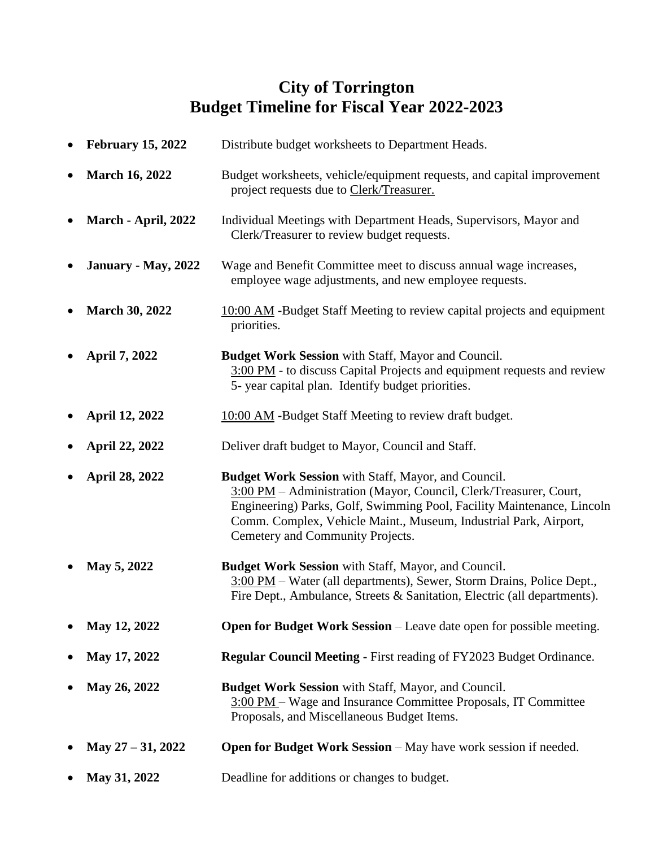## **City of Torrington Budget Timeline for Fiscal Year 2022-2023**

| <b>February 15, 2022</b> | Distribute budget worksheets to Department Heads.                                                                                                                                                                                                                                                                 |
|--------------------------|-------------------------------------------------------------------------------------------------------------------------------------------------------------------------------------------------------------------------------------------------------------------------------------------------------------------|
| <b>March 16, 2022</b>    | Budget worksheets, vehicle/equipment requests, and capital improvement<br>project requests due to Clerk/Treasurer.                                                                                                                                                                                                |
| March - April, 2022      | Individual Meetings with Department Heads, Supervisors, Mayor and<br>Clerk/Treasurer to review budget requests.                                                                                                                                                                                                   |
| January - May, 2022      | Wage and Benefit Committee meet to discuss annual wage increases,<br>employee wage adjustments, and new employee requests.                                                                                                                                                                                        |
| <b>March 30, 2022</b>    | 10:00 AM -Budget Staff Meeting to review capital projects and equipment<br>priorities.                                                                                                                                                                                                                            |
| April 7, 2022            | <b>Budget Work Session</b> with Staff, Mayor and Council.<br>3:00 PM - to discuss Capital Projects and equipment requests and review<br>5- year capital plan. Identify budget priorities.                                                                                                                         |
| <b>April 12, 2022</b>    | 10:00 AM -Budget Staff Meeting to review draft budget.                                                                                                                                                                                                                                                            |
| <b>April 22, 2022</b>    | Deliver draft budget to Mayor, Council and Staff.                                                                                                                                                                                                                                                                 |
| <b>April 28, 2022</b>    | <b>Budget Work Session</b> with Staff, Mayor, and Council.<br>3:00 PM - Administration (Mayor, Council, Clerk/Treasurer, Court,<br>Engineering) Parks, Golf, Swimming Pool, Facility Maintenance, Lincoln<br>Comm. Complex, Vehicle Maint., Museum, Industrial Park, Airport,<br>Cemetery and Community Projects. |
| May 5, 2022              | Budget Work Session with Staff, Mayor, and Council.<br>3:00 PM - Water (all departments), Sewer, Storm Drains, Police Dept.,<br>Fire Dept., Ambulance, Streets & Sanitation, Electric (all departments).                                                                                                          |
| May 12, 2022             | <b>Open for Budget Work Session</b> – Leave date open for possible meeting.                                                                                                                                                                                                                                       |
| May 17, 2022             | <b>Regular Council Meeting - First reading of FY2023 Budget Ordinance.</b>                                                                                                                                                                                                                                        |
| May 26, 2022             | <b>Budget Work Session</b> with Staff, Mayor, and Council.<br>3:00 PM – Wage and Insurance Committee Proposals, IT Committee<br>Proposals, and Miscellaneous Budget Items.                                                                                                                                        |
| May $27 - 31$ , 2022     | <b>Open for Budget Work Session</b> – May have work session if needed.                                                                                                                                                                                                                                            |

• **May 31, 2022** Deadline for additions or changes to budget.